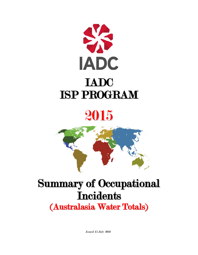

# 2015



## Summary of Occupational **Incidents**

(Australasia Water Totals)

Issued 15 July 2016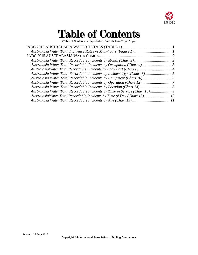

## Table of Contents

**(Table of Contents is Hyperlinked, Just click on Topic & go)**

| AustralasiaWater Total Recordable Incidents by Time of Day (Chart 18) 10 |  |
|--------------------------------------------------------------------------|--|
|                                                                          |  |
|                                                                          |  |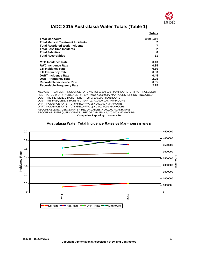

### **IADC 2015 Australasia Water Totals (Table 1)**

<span id="page-2-0"></span>

|                                          | Totals    |
|------------------------------------------|-----------|
| <b>Total Manhours</b>                    | 3,995,411 |
| <b>Total Medical Treatment Incidents</b> |           |
| <b>Total Restricted Work Incidents</b>   |           |
| <b>Total Lost Time Incidents</b>         | 2         |
| <b>Total Fatalities</b>                  | 0         |
| <b>Total Recordables</b>                 | 11        |
| <b>MTO Incidence Rate</b>                | 0.10      |
| <b>RWC Incidence Rate</b>                | 0.35      |
| <b>LTI Incidence Rate</b>                | 0.10      |
| <b>LTI Frequency Rate</b>                | 0.50      |
| <b>DART Incidence Rate</b>               | 0.45      |
| <b>DART Frequency Rate</b>               | 2.25      |
| Recordable Incidence Rate                | 0.55      |
| <b>Recordable Frequency Rate</b>         | 2.75      |

MEDICAL TREATMENT INCIDENCE RATE = MTOs X 200,000 / MANHOURS (LTIs NOT INCLUDED) RESTRICTED WORK INCIDENCE RATE = RWCs X 200,000 / MANHOURS (LTIs NOT INCLUDED) LOST TIME INCIDENCE RATE -( LTIs+FTLs) X 200,000 / MANHOURS LOST TIME FREQUENCY RATE = (LTIs+FTLS) X 1,000,000 / MANHOURS DART INCIDENCE RATE - (LTIs+FTLs+RWCs) X 200,000 / MANHOURS DART INCIDENCE RATE - (LTIs+FTLs+RWCs) X 1,000,000 / MANHOURS RECORDABLE INCIDENCE RATE = RECORDABLES X 200,000 / MANHOURS RECORDABLE FREQUENCY RATE = RECORDABLES X 1,000,000 / MANHOURS **Companies Reporting: Water – 10**

<span id="page-2-1"></span>

**Australasia Water Total Incidence Rates vs Man-hours (Figure 1)**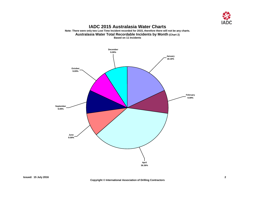

#### **IADC 2015 Australasia Water Charts Note: There were only two Lost Time Incident recorded for 2015, therefore there will not be any charts. Australasia Water Total Recordable Incidents by Month (Chart 2) Based on 11 Incidents**

<span id="page-3-1"></span><span id="page-3-0"></span>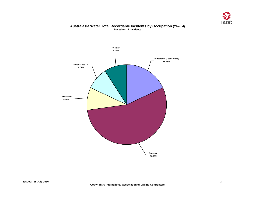

#### **Australasia Water Total Recordable Incidents by Occupation (Chart 4) Based on 11 Incidents**

<span id="page-4-0"></span>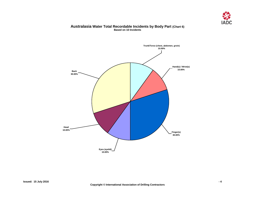

#### **Australasia Water Total Recordable Incidents by Body Part (Chart 6) Based on 10 Incidents**

<span id="page-5-0"></span>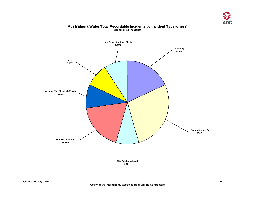

#### **Australasia Water Total Recordable Incidents by Incident Type (Chart 8) Based on 11 Incidents**

<span id="page-6-0"></span>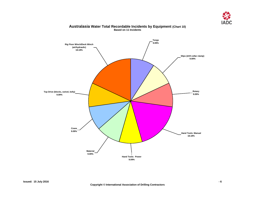

<span id="page-7-0"></span>

#### **Australasia Water Total Recordable Incidents by Equipment (Chart 10) Based on 11 Incidents**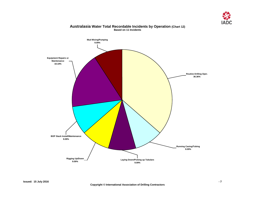

<span id="page-8-0"></span>

#### **Australasia Water Total Recordable Incidents by Operation (Chart 12) Based on 11 Incidents**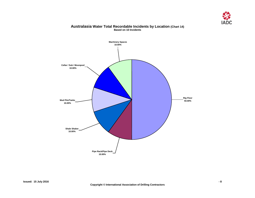

#### **Australasia Water Total Recordable Incidents by Location (Chart 14) Based on 10 Incidents**

<span id="page-9-0"></span>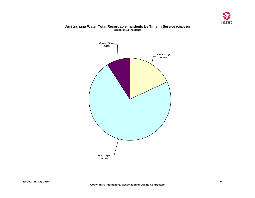

#### <span id="page-10-0"></span>**Australasia Water Total Recordable Incidents by Time in Service (Chart 16) Based on 11 Incidents**

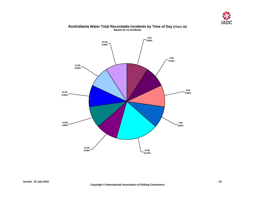

### <span id="page-11-0"></span>**12:00 18.18% 7:00 9.09% 6:00 9.09% 5:00 9.09% 23:00 9.09% 21:00 9.09% 13:00 9.09% 2:00 9.09% 16:00 9.09% 15:00 9.09%**

#### **Australasia Water Total Recordable Incidents by Time of Day (Chart 18) Based on 11 Incidents**